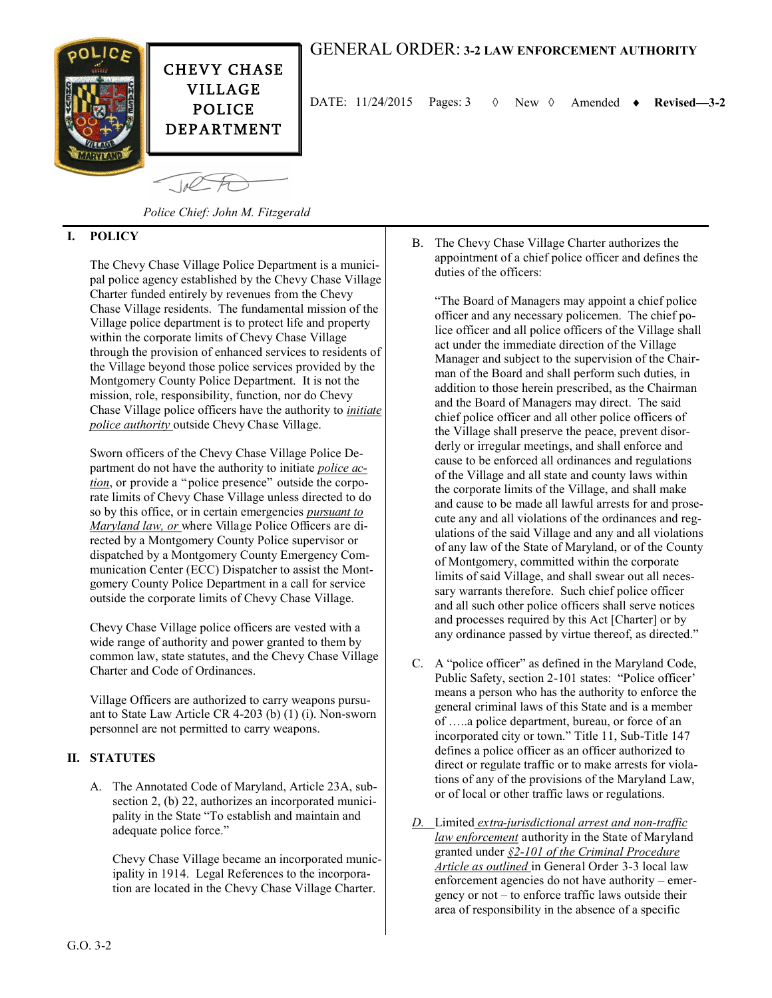

# GENERAL ORDER: **3-2 LAW ENFORCEMENT AUTHORITY**

DATE: 11/24/2015 Pages: 3 New Amended **Revised—3-2**

*Police Chief: John M. Fitzgerald*

### **I. POLICY**

The Chevy Chase Village Police Department is a municipal police agency established by the Chevy Chase Village Charter funded entirely by revenues from the Chevy Chase Village residents. The fundamental mission of the Village police department is to protect life and property within the corporate limits of Chevy Chase Village through the provision of enhanced services to residents of the Village beyond those police services provided by the Montgomery County Police Department. It is not the mission, role, responsibility, function, nor do Chevy Chase Village police officers have the authority to *initiate police authority* outside Chevy Chase Village.

Sworn officers of the Chevy Chase Village Police Department do not have the authority to initiate *police action*, or provide a "police presence" outside the corporate limits of Chevy Chase Village unless directed to do so by this office, or in certain emergencies *pursuant to Maryland law, or* where Village Police Officers are directed by a Montgomery County Police supervisor or dispatched by a Montgomery County Emergency Communication Center (ECC) Dispatcher to assist the Montgomery County Police Department in a call for service outside the corporate limits of Chevy Chase Village.

Chevy Chase Village police officers are vested with a wide range of authority and power granted to them by common law, state statutes, and the Chevy Chase Village Charter and Code of Ordinances.

Village Officers are authorized to carry weapons pursuant to State Law Article CR 4-203 (b) (1) (i). Non-sworn personnel are not permitted to carry weapons.

## **II. STATUTES**

A. The Annotated Code of Maryland, Article 23A, subsection 2, (b) 22, authorizes an incorporated municipality in the State "To establish and maintain and adequate police force."

Chevy Chase Village became an incorporated municipality in 1914. Legal References to the incorporation are located in the Chevy Chase Village Charter.

B. The Chevy Chase Village Charter authorizes the appointment of a chief police officer and defines the duties of the officers:

"The Board of Managers may appoint a chief police officer and any necessary policemen. The chief police officer and all police officers of the Village shall act under the immediate direction of the Village Manager and subject to the supervision of the Chairman of the Board and shall perform such duties, in addition to those herein prescribed, as the Chairman and the Board of Managers may direct. The said chief police officer and all other police officers of the Village shall preserve the peace, prevent disorderly or irregular meetings, and shall enforce and cause to be enforced all ordinances and regulations of the Village and all state and county laws within the corporate limits of the Village, and shall make and cause to be made all lawful arrests for and prosecute any and all violations of the ordinances and regulations of the said Village and any and all violations of any law of the State of Maryland, or of the County of Montgomery, committed within the corporate limits of said Village, and shall swear out all necessary warrants therefore. Such chief police officer and all such other police officers shall serve notices and processes required by this Act [Charter] or by any ordinance passed by virtue thereof, as directed."

- C. A "police officer" as defined in the Maryland Code, Public Safety, section 2-101 states: "Police officer' means a person who has the authority to enforce the general criminal laws of this State and is a member of …..a police department, bureau, or force of an incorporated city or town." Title 11, Sub-Title 147 defines a police officer as an officer authorized to direct or regulate traffic or to make arrests for violations of any of the provisions of the Maryland Law, or of local or other traffic laws or regulations.
- *D.* Limited *extra-jurisdictional arrest and non-traffic law enforcement* authority in the State of Maryland granted under *§2-101 of the Criminal Procedure Article as outlined* in General Order 3-3 local law enforcement agencies do not have authority – emergency or not – to enforce traffic laws outside their area of responsibility in the absence of a specific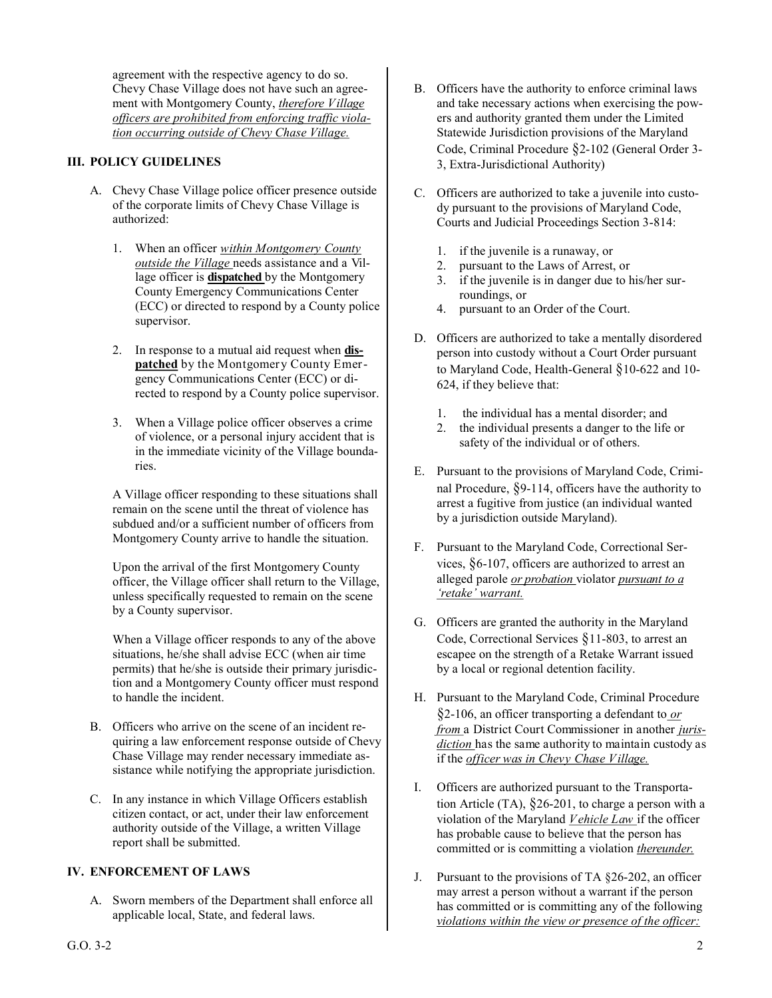agreement with the respective agency to do so. Chevy Chase Village does not have such an agreement with Montgomery County, *therefore Village officers are prohibited from enforcing traffic violation occurring outside of Chevy Chase Village.*

### **III. POLICY GUIDELINES**

- A. Chevy Chase Village police officer presence outside of the corporate limits of Chevy Chase Village is authorized:
	- 1. When an officer *within Montgomery County outside the Village* needs assistance and a Village officer is **dispatched** by the Montgomery County Emergency Communications Center (ECC) or directed to respond by a County police supervisor.
	- 2. In response to a mutual aid request when **dispatched** by the Montgomery County Emergency Communications Center (ECC) or directed to respond by a County police supervisor.
	- 3. When a Village police officer observes a crime of violence, or a personal injury accident that is in the immediate vicinity of the Village boundaries.

A Village officer responding to these situations shall remain on the scene until the threat of violence has subdued and/or a sufficient number of officers from Montgomery County arrive to handle the situation.

Upon the arrival of the first Montgomery County officer, the Village officer shall return to the Village, unless specifically requested to remain on the scene by a County supervisor.

When a Village officer responds to any of the above situations, he/she shall advise ECC (when air time permits) that he/she is outside their primary jurisdiction and a Montgomery County officer must respond to handle the incident.

- B. Officers who arrive on the scene of an incident requiring a law enforcement response outside of Chevy Chase Village may render necessary immediate assistance while notifying the appropriate jurisdiction.
- C. In any instance in which Village Officers establish citizen contact, or act, under their law enforcement authority outside of the Village, a written Village report shall be submitted.

### **IV. ENFORCEMENT OF LAWS**

A. Sworn members of the Department shall enforce all applicable local, State, and federal laws.

- B. Officers have the authority to enforce criminal laws and take necessary actions when exercising the powers and authority granted them under the Limited Statewide Jurisdiction provisions of the Maryland Code, Criminal Procedure §2-102 (General Order 3- 3, Extra-Jurisdictional Authority)
- C. Officers are authorized to take a juvenile into custody pursuant to the provisions of Maryland Code, Courts and Judicial Proceedings Section 3-814:
	- 1. if the juvenile is a runaway, or
	- 2. pursuant to the Laws of Arrest, or
	- 3. if the juvenile is in danger due to his/her surroundings, or
	- 4. pursuant to an Order of the Court.
- D. Officers are authorized to take a mentally disordered person into custody without a Court Order pursuant to Maryland Code, Health-General §10-622 and 10- 624, if they believe that:
	- 1. the individual has a mental disorder; and
	- 2. the individual presents a danger to the life or safety of the individual or of others.
- E. Pursuant to the provisions of Maryland Code, Criminal Procedure, §9-114, officers have the authority to arrest a fugitive from justice (an individual wanted by a jurisdiction outside Maryland).
- F. Pursuant to the Maryland Code, Correctional Services, §6-107, officers are authorized to arrest an alleged parole *or probation* violator *pursuant to a 'retake' warrant.*
- G. Officers are granted the authority in the Maryland Code, Correctional Services §11-803, to arrest an escapee on the strength of a Retake Warrant issued by a local or regional detention facility.
- H. Pursuant to the Maryland Code, Criminal Procedure §2-106, an officer transporting a defendant to *or from* a District Court Commissioner in another *jurisdiction* has the same authority to maintain custody as if the *officer was in Chevy Chase Village.*
- I. Officers are authorized pursuant to the Transportation Article (TA), §26-201, to charge a person with a violation of the Maryland *Vehicle Law* if the officer has probable cause to believe that the person has committed or is committing a violation *thereunder.*
- J. Pursuant to the provisions of TA §26-202, an officer may arrest a person without a warrant if the person has committed or is committing any of the following *violations within the view or presence of the officer:*